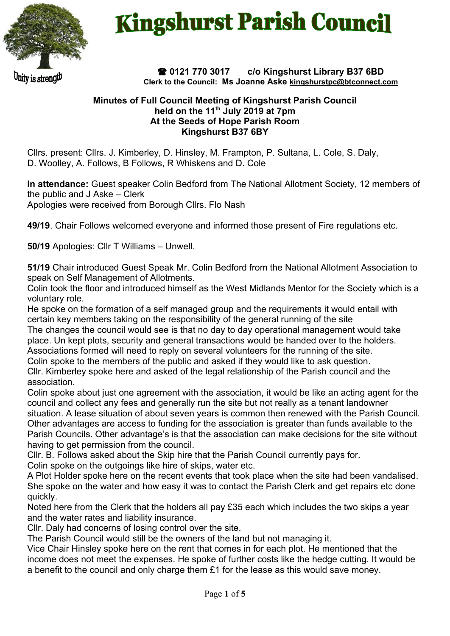

Unity is strength

## **Kingshurst Parish Council**

 **0121 770 3017 c/o Kingshurst Library B37 6BD Clerk to the Council: Ms Joanne Aske [kingshurstpc@btconnect.com](mailto:kingshurstpc@btconnect.com)**

## **Minutes of Full Council Meeting of Kingshurst Parish Council held on the 11th July 2019 at 7pm At the Seeds of Hope Parish Room Kingshurst B37 6BY**

Cllrs. present: Cllrs. J. Kimberley, D. Hinsley, M. Frampton, P. Sultana, L. Cole, S. Daly, D. Woolley, A. Follows, B Follows, R Whiskens and D. Cole

**In attendance:** Guest speaker Colin Bedford from The National Allotment Society, 12 members of the public and J Aske – Clerk Apologies were received from Borough Cllrs. Flo Nash

**49/19**. Chair Follows welcomed everyone and informed those present of Fire regulations etc.

**50/19** Apologies: Cllr T Williams – Unwell.

**51/19** Chair introduced Guest Speak Mr. Colin Bedford from the National Allotment Association to speak on Self Management of Allotments.

Colin took the floor and introduced himself as the West Midlands Mentor for the Society which is a voluntary role.

He spoke on the formation of a self managed group and the requirements it would entail with certain key members taking on the responsibility of the general running of the site

The changes the council would see is that no day to day operational management would take place. Un kept plots, security and general transactions would be handed over to the holders.

Associations formed will need to reply on several volunteers for the running of the site. Colin spoke to the members of the public and asked if they would like to ask question.

Cllr. Kimberley spoke here and asked of the legal relationship of the Parish council and the association.

Colin spoke about just one agreement with the association, it would be like an acting agent for the council and collect any fees and generally run the site but not really as a tenant landowner situation. A lease situation of about seven years is common then renewed with the Parish Council. Other advantages are access to funding for the association is greater than funds available to the Parish Councils. Other advantage's is that the association can make decisions for the site without

having to get permission from the council.

Cllr. B. Follows asked about the Skip hire that the Parish Council currently pays for.

Colin spoke on the outgoings like hire of skips, water etc.

A Plot Holder spoke here on the recent events that took place when the site had been vandalised. She spoke on the water and how easy it was to contact the Parish Clerk and get repairs etc done quickly.

Noted here from the Clerk that the holders all pay £35 each which includes the two skips a year and the water rates and liability insurance.

Cllr. Daly had concerns of losing control over the site.

The Parish Council would still be the owners of the land but not managing it.

Vice Chair Hinsley spoke here on the rent that comes in for each plot. He mentioned that the income does not meet the expenses. He spoke of further costs like the hedge cutting. It would be a benefit to the council and only charge them £1 for the lease as this would save money.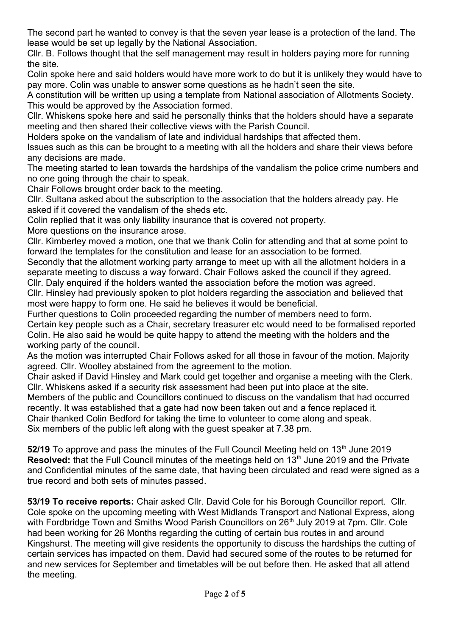The second part he wanted to convey is that the seven year lease is a protection of the land. The lease would be set up legally by the National Association.

Cllr. B. Follows thought that the self management may result in holders paying more for running the site.

Colin spoke here and said holders would have more work to do but it is unlikely they would have to pay more. Colin was unable to answer some questions as he hadn't seen the site.

A constitution will be written up using a template from National association of Allotments Society. This would be approved by the Association formed.

Cllr. Whiskens spoke here and said he personally thinks that the holders should have a separate meeting and then shared their collective views with the Parish Council.

Holders spoke on the vandalism of late and individual hardships that affected them.

Issues such as this can be brought to a meeting with all the holders and share their views before any decisions are made.

The meeting started to lean towards the hardships of the vandalism the police crime numbers and no one going through the chair to speak.

Chair Follows brought order back to the meeting.

Cllr. Sultana asked about the subscription to the association that the holders already pay. He asked if it covered the vandalism of the sheds etc.

Colin replied that it was only liability insurance that is covered not property.

More questions on the insurance arose.

Cllr. Kimberley moved a motion, one that we thank Colin for attending and that at some point to forward the templates for the constitution and lease for an association to be formed.

Secondly that the allotment working party arrange to meet up with all the allotment holders in a separate meeting to discuss a way forward. Chair Follows asked the council if they agreed.

Cllr. Daly enquired if the holders wanted the association before the motion was agreed. Cllr. Hinsley had previously spoken to plot holders regarding the association and believed that most were happy to form one. He said he believes it would be beneficial.

Further questions to Colin proceeded regarding the number of members need to form. Certain key people such as a Chair, secretary treasurer etc would need to be formalised reported Colin. He also said he would be quite happy to attend the meeting with the holders and the working party of the council.

As the motion was interrupted Chair Follows asked for all those in favour of the motion. Majority agreed. Cllr. Woolley abstained from the agreement to the motion.

Chair asked if David Hinsley and Mark could get together and organise a meeting with the Clerk. Cllr. Whiskens asked if a security risk assessment had been put into place at the site.

Members of the public and Councillors continued to discuss on the vandalism that had occurred recently. It was established that a gate had now been taken out and a fence replaced it.

Chair thanked Colin Bedford for taking the time to volunteer to come along and speak.

Six members of the public left along with the guest speaker at 7.38 pm.

52/19 To approve and pass the minutes of the Full Council Meeting held on 13<sup>th</sup> June 2019 **Resolved:** that the Full Council minutes of the meetings held on 13<sup>th</sup> June 2019 and the Private and Confidential minutes of the same date, that having been circulated and read were signed as a true record and both sets of minutes passed.

**53/19 To receive reports:** Chair asked Cllr. David Cole for his Borough Councillor report. Cllr. Cole spoke on the upcoming meeting with West Midlands Transport and National Express, along with Fordbridge Town and Smiths Wood Parish Councillors on 26<sup>th</sup> July 2019 at 7pm. Cllr. Cole had been working for 26 Months regarding the cutting of certain bus routes in and around Kingshurst. The meeting will give residents the opportunity to discuss the hardships the cutting of certain services has impacted on them. David had secured some of the routes to be returned for and new services for September and timetables will be out before then. He asked that all attend the meeting.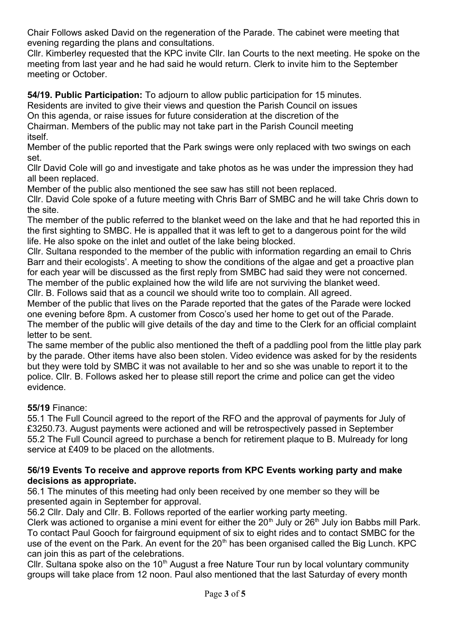Chair Follows asked David on the regeneration of the Parade. The cabinet were meeting that evening regarding the plans and consultations.

Cllr. Kimberley requested that the KPC invite Cllr. Ian Courts to the next meeting. He spoke on the meeting from last year and he had said he would return. Clerk to invite him to the September meeting or October.

**54/19. Public Participation:** To adjourn to allow public participation for 15 minutes.

Residents are invited to give their views and question the Parish Council on issues

On this agenda, or raise issues for future consideration at the discretion of the

Chairman. Members of the public may not take part in the Parish Council meeting itself.

Member of the public reported that the Park swings were only replaced with two swings on each set.

Cllr David Cole will go and investigate and take photos as he was under the impression they had all been replaced.

Member of the public also mentioned the see saw has still not been replaced.

Cllr. David Cole spoke of a future meeting with Chris Barr of SMBC and he will take Chris down to the site.

The member of the public referred to the blanket weed on the lake and that he had reported this in the first sighting to SMBC. He is appalled that it was left to get to a dangerous point for the wild life. He also spoke on the inlet and outlet of the lake being blocked.

Cllr. Sultana responded to the member of the public with information regarding an email to Chris Barr and their ecologists'. A meeting to show the conditions of the algae and get a proactive plan for each year will be discussed as the first reply from SMBC had said they were not concerned. The member of the public explained how the wild life are not surviving the blanket weed.

Cllr. B. Follows said that as a council we should write too to complain. All agreed.

Member of the public that lives on the Parade reported that the gates of the Parade were locked one evening before 8pm. A customer from Cosco's used her home to get out of the Parade. The member of the public will give details of the day and time to the Clerk for an official complaint letter to be sent.

The same member of the public also mentioned the theft of a paddling pool from the little play park by the parade. Other items have also been stolen. Video evidence was asked for by the residents but they were told by SMBC it was not available to her and so she was unable to report it to the police. Cllr. B. Follows asked her to please still report the crime and police can get the video evidence.

**55/19** Finance:

55.1 The Full Council agreed to the report of the RFO and the approval of payments for July of £3250.73. August payments were actioned and will be retrospectively passed in September 55.2 The Full Council agreed to purchase a bench for retirement plaque to B. Mulready for long service at £409 to be placed on the allotments.

## **56/19 Events To receive and approve reports from KPC Events working party and make decisions as appropriate.**

56.1 The minutes of this meeting had only been received by one member so they will be presented again in September for approval.

56.2 Cllr. Daly and Cllr. B. Follows reported of the earlier working party meeting.

Clerk was actioned to organise a mini event for either the  $20<sup>th</sup>$  July or  $26<sup>th</sup>$  July ion Babbs mill Park. To contact Paul Gooch for fairground equipment of six to eight rides and to contact SMBC for the use of the event on the Park. An event for the  $20<sup>th</sup>$  has been organised called the Big Lunch. KPC can join this as part of the celebrations.

Cllr. Sultana spoke also on the 10<sup>th</sup> August a free Nature Tour run by local voluntary community groups will take place from 12 noon. Paul also mentioned that the last Saturday of every month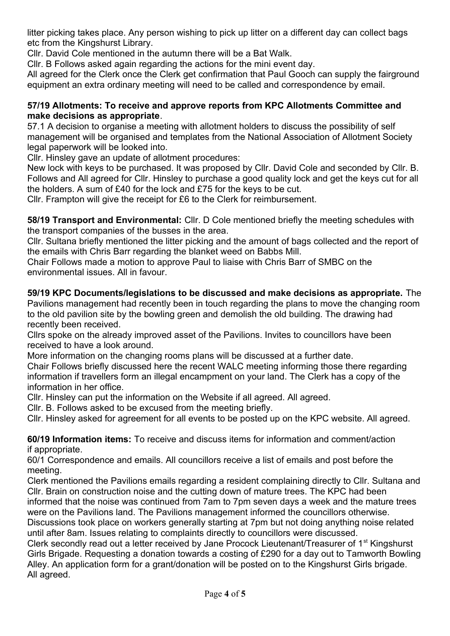litter picking takes place. Any person wishing to pick up litter on a different day can collect bags etc from the Kingshurst Library.

Cllr. David Cole mentioned in the autumn there will be a Bat Walk.

Cllr. B Follows asked again regarding the actions for the mini event day.

All agreed for the Clerk once the Clerk get confirmation that Paul Gooch can supply the fairground equipment an extra ordinary meeting will need to be called and correspondence by email.

## **57/19 Allotments: To receive and approve reports from KPC Allotments Committee and make decisions as appropriate**.

57.1 A decision to organise a meeting with allotment holders to discuss the possibility of self management will be organised and templates from the National Association of Allotment Society legal paperwork will be looked into.

Cllr. Hinsley gave an update of allotment procedures:

New lock with keys to be purchased. It was proposed by Cllr. David Cole and seconded by Cllr. B. Follows and All agreed for Cllr. Hinsley to purchase a good quality lock and get the keys cut for all the holders. A sum of £40 for the lock and £75 for the keys to be cut.

Cllr. Frampton will give the receipt for £6 to the Clerk for reimbursement.

**58/19 Transport and Environmental:** Cllr. D Cole mentioned briefly the meeting schedules with the transport companies of the busses in the area.

Cllr. Sultana briefly mentioned the litter picking and the amount of bags collected and the report of the emails with Chris Barr regarding the blanket weed on Babbs Mill.

Chair Follows made a motion to approve Paul to liaise with Chris Barr of SMBC on the environmental issues. All in favour.

**59/19 KPC Documents/legislations to be discussed and make decisions as appropriate.** The Pavilions management had recently been in touch regarding the plans to move the changing room to the old pavilion site by the bowling green and demolish the old building. The drawing had recently been received.

Cllrs spoke on the already improved asset of the Pavilions. Invites to councillors have been received to have a look around.

More information on the changing rooms plans will be discussed at a further date. Chair Follows briefly discussed here the recent WALC meeting informing those there regarding information if travellers form an illegal encampment on your land. The Clerk has a copy of the information in her office.

Cllr. Hinsley can put the information on the Website if all agreed. All agreed.

Cllr. B. Follows asked to be excused from the meeting briefly.

Cllr. Hinsley asked for agreement for all events to be posted up on the KPC website. All agreed.

**60/19 Information items:** To receive and discuss items for information and comment/action if appropriate.

60/1 Correspondence and emails. All councillors receive a list of emails and post before the meeting.

Clerk mentioned the Pavilions emails regarding a resident complaining directly to Cllr. Sultana and Cllr. Brain on construction noise and the cutting down of mature trees. The KPC had been informed that the noise was continued from 7am to 7pm seven days a week and the mature trees were on the Pavilions land. The Pavilions management informed the councillors otherwise.

Discussions took place on workers generally starting at 7pm but not doing anything noise related until after 8am. Issues relating to complaints directly to councillors were discussed.

Clerk secondly read out a letter received by Jane Procock Lieutenant/Treasurer of 1<sup>st</sup> Kingshurst Girls Brigade. Requesting a donation towards a costing of £290 for a day out to Tamworth Bowling Alley. An application form for a grant/donation will be posted on to the Kingshurst Girls brigade. All agreed.